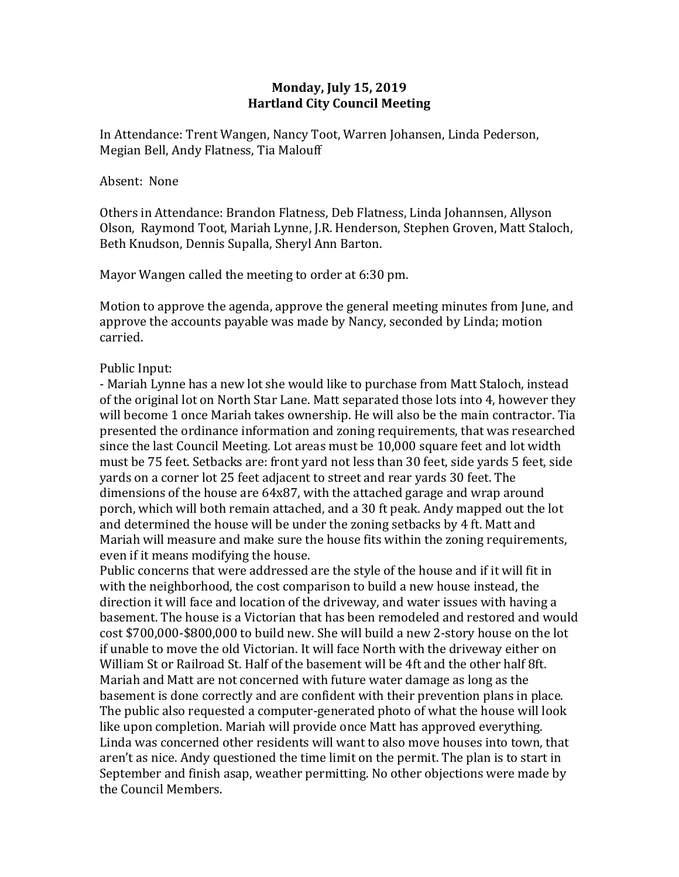### **Monday, July 15, 2019 Hartland City Council Meeting**

In Attendance: Trent Wangen, Nancy Toot, Warren Johansen, Linda Pederson, Megian Bell, Andy Flatness, Tia Malouff

#### Absent: None

Others in Attendance: Brandon Flatness, Deb Flatness, Linda Johannsen, Allyson Olson, Raymond Toot, Mariah Lynne, J.R. Henderson, Stephen Groven, Matt Staloch, Beth Knudson, Dennis Supalla, Sheryl Ann Barton.

Mayor Wangen called the meeting to order at 6:30 pm.

Motion to approve the agenda, approve the general meeting minutes from June, and approve the accounts payable was made by Nancy, seconded by Linda; motion carried.

#### Public Input:

- Mariah Lynne has a new lot she would like to purchase from Matt Staloch, instead of the original lot on North Star Lane. Matt separated those lots into 4, however they will become 1 once Mariah takes ownership. He will also be the main contractor. Tia presented the ordinance information and zoning requirements, that was researched since the last Council Meeting. Lot areas must be 10,000 square feet and lot width must be 75 feet. Setbacks are: front yard not less than 30 feet, side yards 5 feet, side yards on a corner lot 25 feet adjacent to street and rear yards 30 feet. The dimensions of the house are 64x87, with the attached garage and wrap around porch, which will both remain attached, and a 30 ft peak. Andy mapped out the lot and determined the house will be under the zoning setbacks by 4 ft. Matt and Mariah will measure and make sure the house fits within the zoning requirements, even if it means modifying the house.

Public concerns that were addressed are the style of the house and if it will fit in with the neighborhood, the cost comparison to build a new house instead, the direction it will face and location of the driveway, and water issues with having a basement. The house is a Victorian that has been remodeled and restored and would cost \$700,000-\$800,000 to build new. She will build a new 2-story house on the lot if unable to move the old Victorian. It will face North with the driveway either on William St or Railroad St. Half of the basement will be 4ft and the other half 8ft. Mariah and Matt are not concerned with future water damage as long as the basement is done correctly and are confident with their prevention plans in place. The public also requested a computer-generated photo of what the house will look like upon completion. Mariah will provide once Matt has approved everything. Linda was concerned other residents will want to also move houses into town, that aren't as nice. Andy questioned the time limit on the permit. The plan is to start in September and finish asap, weather permitting. No other objections were made by the Council Members.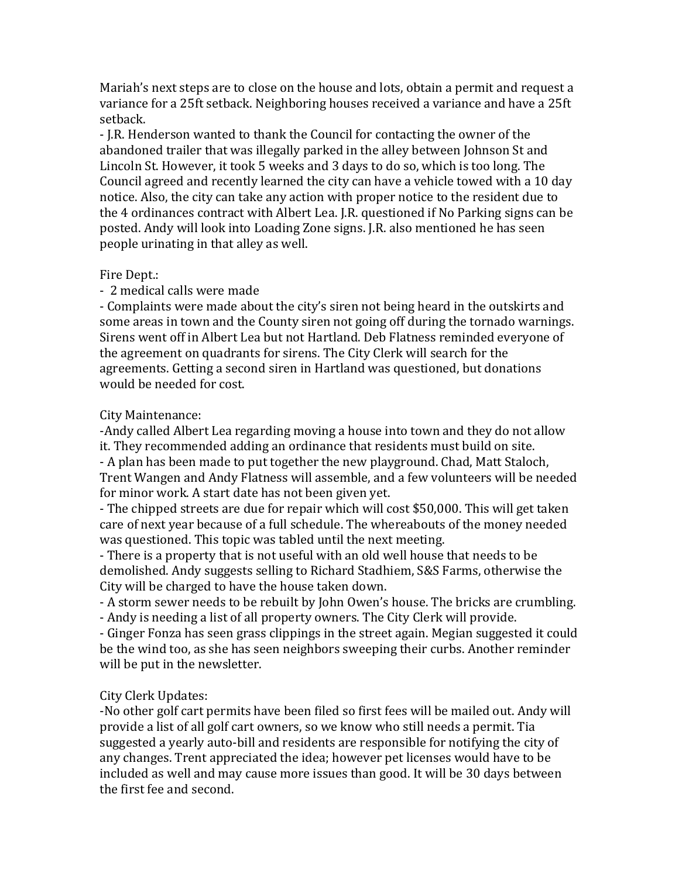Mariah's next steps are to close on the house and lots, obtain a permit and request a variance for a 25ft setback. Neighboring houses received a variance and have a 25ft setback.

- J.R. Henderson wanted to thank the Council for contacting the owner of the abandoned trailer that was illegally parked in the alley between Johnson St and Lincoln St. However, it took 5 weeks and 3 days to do so, which is too long. The Council agreed and recently learned the city can have a vehicle towed with a 10 day notice. Also, the city can take any action with proper notice to the resident due to the 4 ordinances contract with Albert Lea. J.R. questioned if No Parking signs can be posted. Andy will look into Loading Zone signs. J.R. also mentioned he has seen people urinating in that alley as well.

#### Fire Dept.:

- 2 medical calls were made

- Complaints were made about the city's siren not being heard in the outskirts and some areas in town and the County siren not going off during the tornado warnings. Sirens went off in Albert Lea but not Hartland. Deb Flatness reminded everyone of the agreement on quadrants for sirens. The City Clerk will search for the agreements. Getting a second siren in Hartland was questioned, but donations would be needed for cost.

### City Maintenance:

-Andy called Albert Lea regarding moving a house into town and they do not allow it. They recommended adding an ordinance that residents must build on site. - A plan has been made to put together the new playground. Chad, Matt Staloch, Trent Wangen and Andy Flatness will assemble, and a few volunteers will be needed for minor work. A start date has not been given yet.

- The chipped streets are due for repair which will cost \$50,000. This will get taken care of next year because of a full schedule. The whereabouts of the money needed was questioned. This topic was tabled until the next meeting.

- There is a property that is not useful with an old well house that needs to be demolished. Andy suggests selling to Richard Stadhiem, S&S Farms, otherwise the City will be charged to have the house taken down.

- A storm sewer needs to be rebuilt by John Owen's house. The bricks are crumbling. - Andy is needing a list of all property owners. The City Clerk will provide.

- Ginger Fonza has seen grass clippings in the street again. Megian suggested it could be the wind too, as she has seen neighbors sweeping their curbs. Another reminder will be put in the newsletter.

### City Clerk Updates:

-No other golf cart permits have been filed so first fees will be mailed out. Andy will provide a list of all golf cart owners, so we know who still needs a permit. Tia suggested a yearly auto-bill and residents are responsible for notifying the city of any changes. Trent appreciated the idea; however pet licenses would have to be included as well and may cause more issues than good. It will be 30 days between the first fee and second.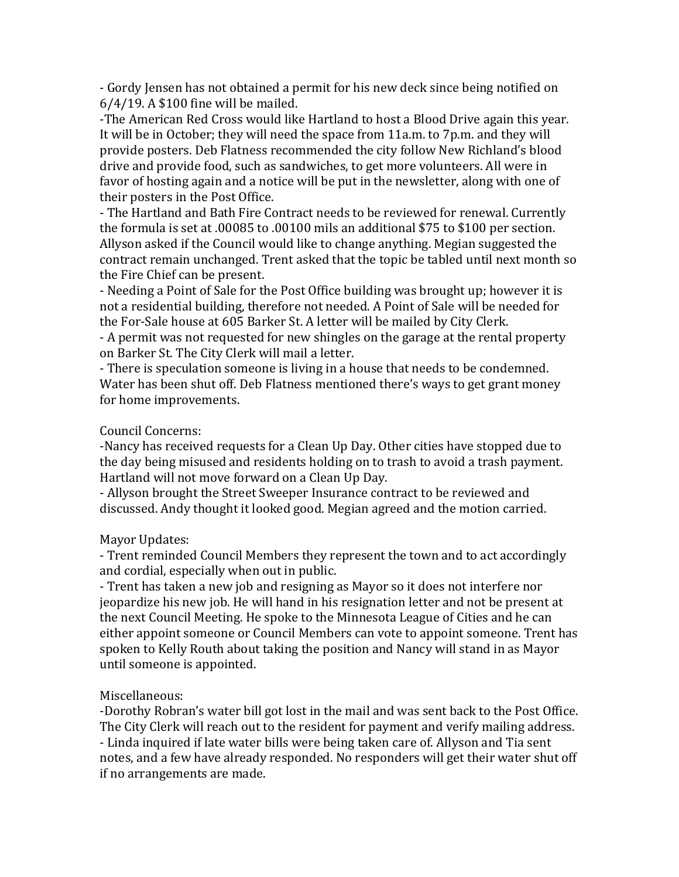- Gordy Jensen has not obtained a permit for his new deck since being notified on 6/4/19. A \$100 fine will be mailed.

-The American Red Cross would like Hartland to host a Blood Drive again this year. It will be in October; they will need the space from 11a.m. to 7p.m. and they will provide posters. Deb Flatness recommended the city follow New Richland's blood drive and provide food, such as sandwiches, to get more volunteers. All were in favor of hosting again and a notice will be put in the newsletter, along with one of their posters in the Post Office.

- The Hartland and Bath Fire Contract needs to be reviewed for renewal. Currently the formula is set at .00085 to .00100 mils an additional \$75 to \$100 per section. Allyson asked if the Council would like to change anything. Megian suggested the contract remain unchanged. Trent asked that the topic be tabled until next month so the Fire Chief can be present.

- Needing a Point of Sale for the Post Office building was brought up; however it is not a residential building, therefore not needed. A Point of Sale will be needed for the For-Sale house at 605 Barker St. A letter will be mailed by City Clerk.

- A permit was not requested for new shingles on the garage at the rental property on Barker St. The City Clerk will mail a letter.

- There is speculation someone is living in a house that needs to be condemned. Water has been shut off. Deb Flatness mentioned there's ways to get grant money for home improvements.

## Council Concerns:

-Nancy has received requests for a Clean Up Day. Other cities have stopped due to the day being misused and residents holding on to trash to avoid a trash payment. Hartland will not move forward on a Clean Up Day.

- Allyson brought the Street Sweeper Insurance contract to be reviewed and discussed. Andy thought it looked good. Megian agreed and the motion carried.

# Mayor Updates:

- Trent reminded Council Members they represent the town and to act accordingly and cordial, especially when out in public.

- Trent has taken a new job and resigning as Mayor so it does not interfere nor jeopardize his new job. He will hand in his resignation letter and not be present at the next Council Meeting. He spoke to the Minnesota League of Cities and he can either appoint someone or Council Members can vote to appoint someone. Trent has spoken to Kelly Routh about taking the position and Nancy will stand in as Mayor until someone is appointed.

# Miscellaneous:

-Dorothy Robran's water bill got lost in the mail and was sent back to the Post Office. The City Clerk will reach out to the resident for payment and verify mailing address. - Linda inquired if late water bills were being taken care of. Allyson and Tia sent notes, and a few have already responded. No responders will get their water shut off if no arrangements are made.